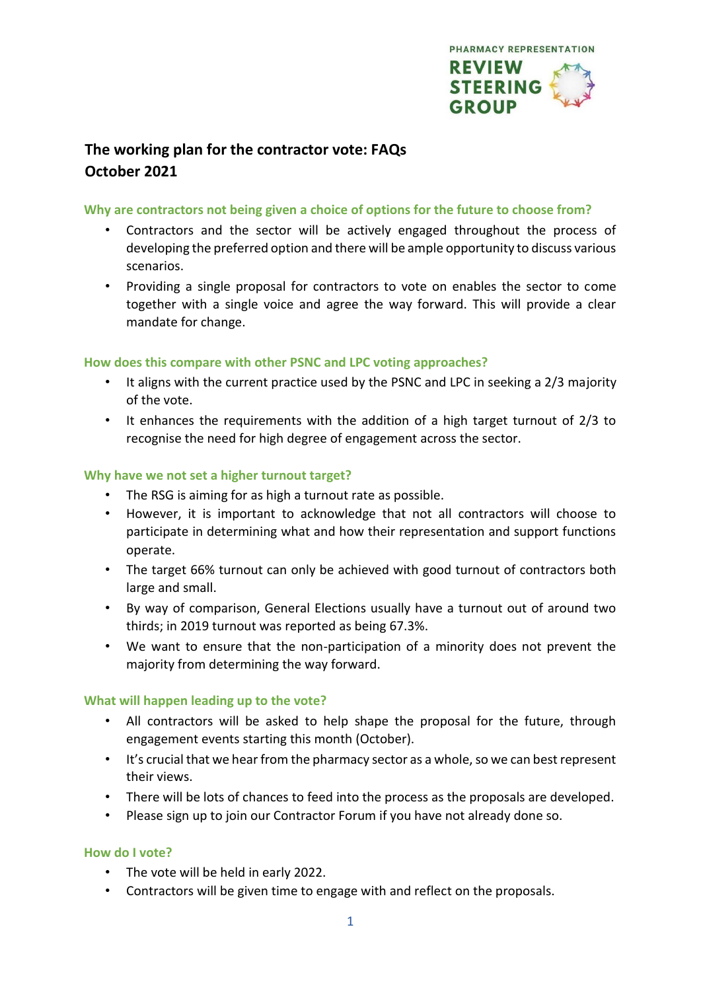

# **The working plan for the contractor vote: FAQs October 2021**

## **Why are contractors not being given a choice of options for the future to choose from?**

- Contractors and the sector will be actively engaged throughout the process of developing the preferred option and there will be ample opportunity to discuss various scenarios.
- Providing a single proposal for contractors to vote on enables the sector to come together with a single voice and agree the way forward. This will provide a clear mandate for change.

# **How does this compare with other PSNC and LPC voting approaches?**

- It aligns with the current practice used by the PSNC and LPC in seeking a 2/3 majority of the vote.
- It enhances the requirements with the addition of a high target turnout of 2/3 to recognise the need for high degree of engagement across the sector.

# **Why have we not set a higher turnout target?**

- The RSG is aiming for as high a turnout rate as possible.
- However, it is important to acknowledge that not all contractors will choose to participate in determining what and how their representation and support functions operate.
- The target 66% turnout can only be achieved with good turnout of contractors both large and small.
- By way of comparison, General Elections usually have a turnout out of around two thirds; in 2019 turnout was reported as being 67.3%.
- We want to ensure that the non-participation of a minority does not prevent the majority from determining the way forward.

## **What will happen leading up to the vote?**

- All contractors will be asked to help shape the proposal for the future, through engagement events starting this month (October).
- It's crucial that we hear from the pharmacy sector as a whole, so we can best represent their views.
- There will be lots of chances to feed into the process as the proposals are developed.
- Please sign up to join our Contractor Forum if you have not already done so.

## **How do I vote?**

- The vote will be held in early 2022.
- Contractors will be given time to engage with and reflect on the proposals.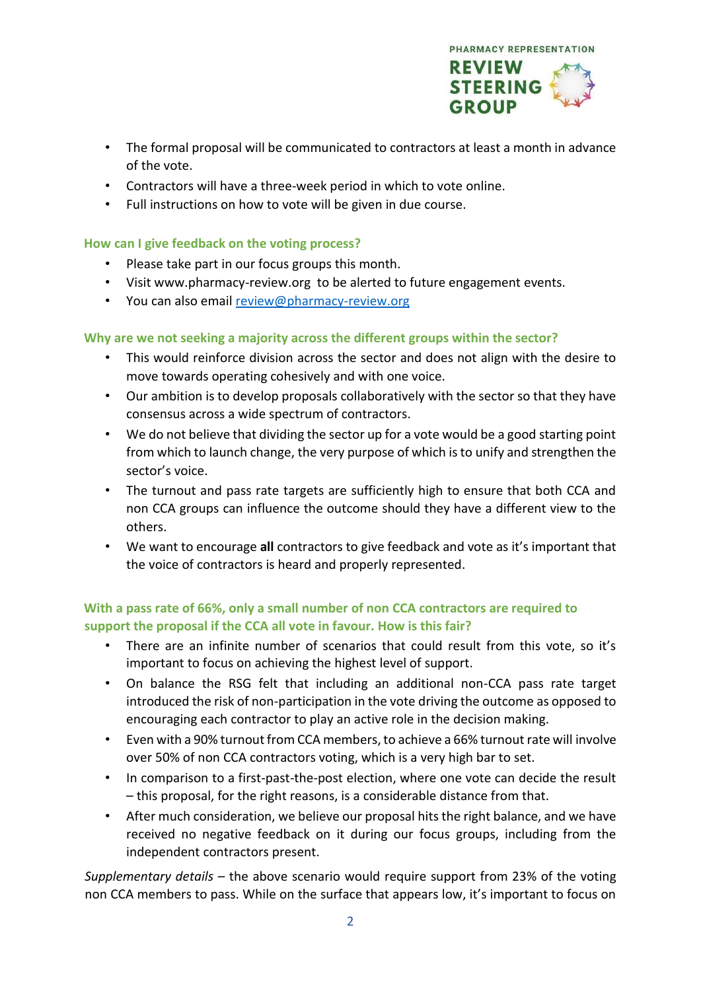

- The formal proposal will be communicated to contractors at least a month in advance of the vote.
- Contractors will have a three-week period in which to vote online.
- Full instructions on how to vote will be given in due course.

## **How can I give feedback on the voting process?**

- Please take part in our focus groups this month.
- Visit www.pharmacy-review.org to be alerted to future engagement events.
- You can also email review@pharmacy-review.org

# **Why are we not seeking a majority across the different groups within the sector?**

- This would reinforce division across the sector and does not align with the desire to move towards operating cohesively and with one voice.
- Our ambition is to develop proposals collaboratively with the sector so that they have consensus across a wide spectrum of contractors.
- We do not believe that dividing the sector up for a vote would be a good starting point from which to launch change, the very purpose of which is to unify and strengthen the sector's voice.
- The turnout and pass rate targets are sufficiently high to ensure that both CCA and non CCA groups can influence the outcome should they have a different view to the others.
- We want to encourage **all** contractors to give feedback and vote as it's important that the voice of contractors is heard and properly represented.

# **With a pass rate of 66%, only a small number of non CCA contractors are required to support the proposal if the CCA all vote in favour. How is this fair?**

- There are an infinite number of scenarios that could result from this vote, so it's important to focus on achieving the highest level of support.
- On balance the RSG felt that including an additional non-CCA pass rate target introduced the risk of non-participation in the vote driving the outcome as opposed to encouraging each contractor to play an active role in the decision making.
- Even with a 90% turnout from CCA members, to achieve a 66% turnout rate will involve over 50% of non CCA contractors voting, which is a very high bar to set.
- In comparison to a first-past-the-post election, where one vote can decide the result – this proposal, for the right reasons, is a considerable distance from that.
- After much consideration, we believe our proposal hits the right balance, and we have received no negative feedback on it during our focus groups, including from the independent contractors present.

*Supplementary details* – the above scenario would require support from 23% of the voting non CCA members to pass. While on the surface that appears low, it's important to focus on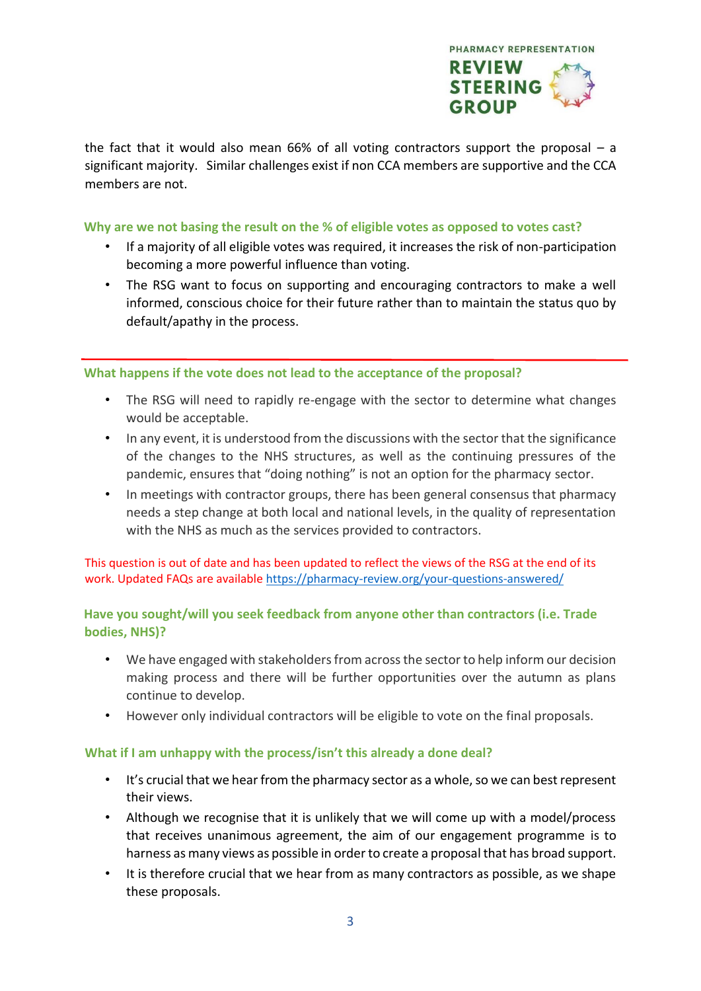

the fact that it would also mean 66% of all voting contractors support the proposal – a significant majority. Similar challenges exist if non CCA members are supportive and the CCA members are not.

#### **Why are we not basing the result on the % of eligible votes as opposed to votes cast?**

- If a majority of all eligible votes was required, it increases the risk of non-participation becoming a more powerful influence than voting.
- The RSG want to focus on supporting and encouraging contractors to make a well informed, conscious choice for their future rather than to maintain the status quo by default/apathy in the process.

#### **What happens if the vote does not lead to the acceptance of the proposal?**

- The RSG will need to rapidly re-engage with the sector to determine what changes would be acceptable.
- In any event, it is understood from the discussions with the sector that the significance of the changes to the NHS structures, as well as the continuing pressures of the pandemic, ensures that "doing nothing" is not an option for the pharmacy sector.
- In meetings with contractor groups, there has been general consensus that pharmacy needs a step change at both local and national levels, in the quality of representation with the NHS as much as the services provided to contractors.

This question is out of date and has been updated to reflect the views of the RSG at the end of its work. Updated FAQs are available<https://pharmacy-review.org/your-questions-answered/>

# **Have you sought/will you seek feedback from anyone other than contractors (i.e. Trade bodies, NHS)?**

- We have engaged with stakeholders from across the sector to help inform our decision making process and there will be further opportunities over the autumn as plans continue to develop.
- However only individual contractors will be eligible to vote on the final proposals.

## **What if I am unhappy with the process/isn't this already a done deal?**

- It's crucial that we hear from the pharmacy sector as a whole, so we can best represent their views.
- Although we recognise that it is unlikely that we will come up with a model/process that receives unanimous agreement, the aim of our engagement programme is to harness as many views as possible in order to create a proposal that has broad support.
- It is therefore crucial that we hear from as many contractors as possible, as we shape these proposals.